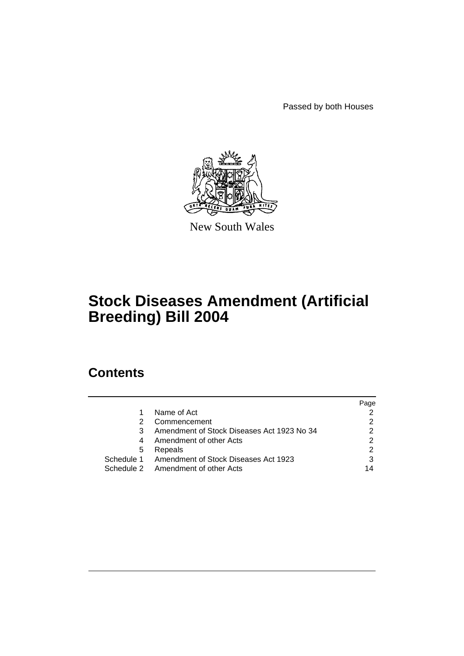Passed by both Houses



New South Wales

# **Stock Diseases Amendment (Artificial Breeding) Bill 2004**

# **Contents**

|   |                                                 | Page |
|---|-------------------------------------------------|------|
|   | Name of Act                                     |      |
|   | Commencement                                    |      |
| 3 | Amendment of Stock Diseases Act 1923 No 34      |      |
|   | Amendment of other Acts                         | 2    |
| 5 | Repeals                                         |      |
|   | Schedule 1 Amendment of Stock Diseases Act 1923 |      |
|   | Schedule 2 Amendment of other Acts              | 14   |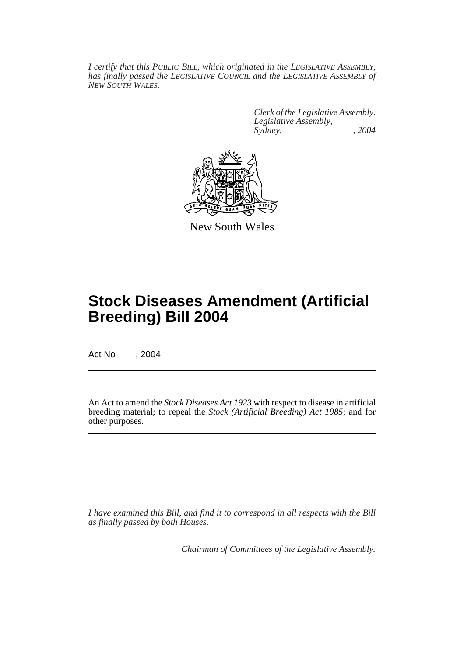*I certify that this PUBLIC BILL, which originated in the LEGISLATIVE ASSEMBLY, has finally passed the LEGISLATIVE COUNCIL and the LEGISLATIVE ASSEMBLY of NEW SOUTH WALES.*

> *Clerk of the Legislative Assembly. Legislative Assembly, Sydney, , 2004*



New South Wales

# **Stock Diseases Amendment (Artificial Breeding) Bill 2004**

Act No , 2004

An Act to amend the *Stock Diseases Act 1923* with respect to disease in artificial breeding material; to repeal the *Stock (Artificial Breeding) Act 1985*; and for other purposes.

*I have examined this Bill, and find it to correspond in all respects with the Bill as finally passed by both Houses.*

*Chairman of Committees of the Legislative Assembly.*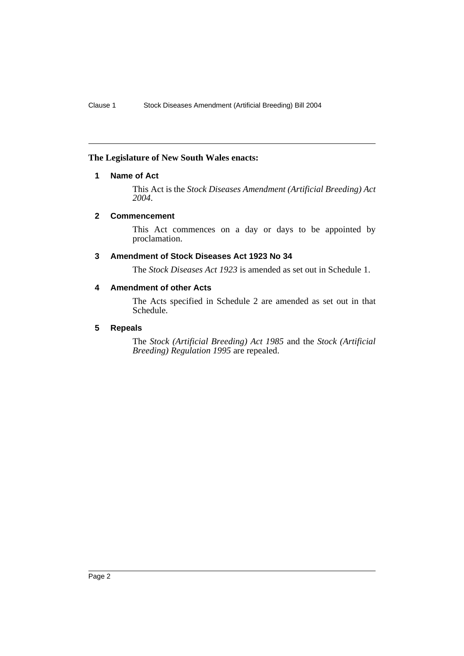#### <span id="page-2-0"></span>**The Legislature of New South Wales enacts:**

#### **1 Name of Act**

This Act is the *Stock Diseases Amendment (Artificial Breeding) Act 2004*.

#### <span id="page-2-1"></span>**2 Commencement**

This Act commences on a day or days to be appointed by proclamation.

#### <span id="page-2-2"></span>**3 Amendment of Stock Diseases Act 1923 No 34**

The *Stock Diseases Act 1923* is amended as set out in Schedule 1.

#### <span id="page-2-3"></span>**4 Amendment of other Acts**

The Acts specified in Schedule 2 are amended as set out in that Schedule.

# <span id="page-2-4"></span>**5 Repeals**

The *Stock (Artificial Breeding) Act 1985* and the *Stock (Artificial Breeding) Regulation 1995* are repealed.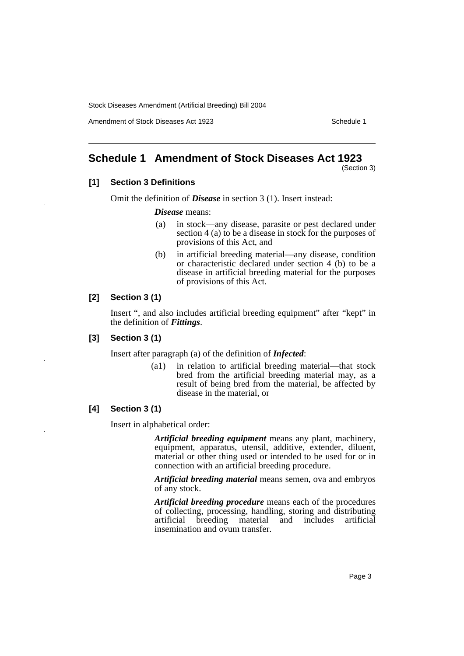Amendment of Stock Diseases Act 1923 Schedule 1

# <span id="page-3-0"></span>**Schedule 1 Amendment of Stock Diseases Act 1923**

(Section 3)

#### **[1] Section 3 Definitions**

Omit the definition of *Disease* in section 3 (1). Insert instead:

*Disease* means:

- (a) in stock—any disease, parasite or pest declared under section 4 (a) to be a disease in stock for the purposes of provisions of this Act, and
- (b) in artificial breeding material—any disease, condition or characteristic declared under section 4 (b) to be a disease in artificial breeding material for the purposes of provisions of this Act.

#### **[2] Section 3 (1)**

Insert ", and also includes artificial breeding equipment" after "kept" in the definition of *Fittings*.

#### **[3] Section 3 (1)**

Insert after paragraph (a) of the definition of *Infected*:

(a1) in relation to artificial breeding material—that stock bred from the artificial breeding material may, as a result of being bred from the material, be affected by disease in the material, or

# **[4] Section 3 (1)**

Insert in alphabetical order:

*Artificial breeding equipment* means any plant, machinery, equipment, apparatus, utensil, additive, extender, diluent, material or other thing used or intended to be used for or in connection with an artificial breeding procedure.

*Artificial breeding material* means semen, ova and embryos of any stock.

*Artificial breeding procedure* means each of the procedures of collecting, processing, handling, storing and distributing artificial breeding material and includes artificial insemination and ovum transfer.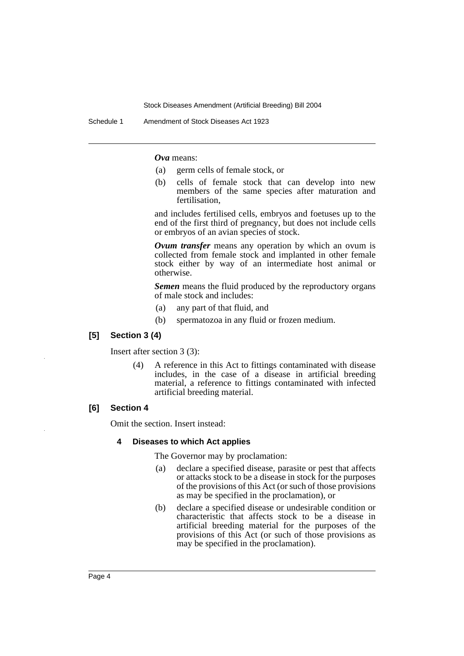Schedule 1 Amendment of Stock Diseases Act 1923

*Ova* means:

- (a) germ cells of female stock, or
- (b) cells of female stock that can develop into new members of the same species after maturation and fertilisation,

and includes fertilised cells, embryos and foetuses up to the end of the first third of pregnancy, but does not include cells or embryos of an avian species of stock.

*Ovum transfer* means any operation by which an ovum is collected from female stock and implanted in other female stock either by way of an intermediate host animal or otherwise.

*Semen* means the fluid produced by the reproductory organs of male stock and includes:

- (a) any part of that fluid, and
- (b) spermatozoa in any fluid or frozen medium.

#### **[5] Section 3 (4)**

Insert after section 3 (3):

(4) A reference in this Act to fittings contaminated with disease includes, in the case of a disease in artificial breeding material, a reference to fittings contaminated with infected artificial breeding material.

#### **[6] Section 4**

Omit the section. Insert instead:

#### **4 Diseases to which Act applies**

The Governor may by proclamation:

- (a) declare a specified disease, parasite or pest that affects or attacks stock to be a disease in stock for the purposes of the provisions of this Act (or such of those provisions as may be specified in the proclamation), or
- (b) declare a specified disease or undesirable condition or characteristic that affects stock to be a disease in artificial breeding material for the purposes of the provisions of this Act (or such of those provisions as may be specified in the proclamation).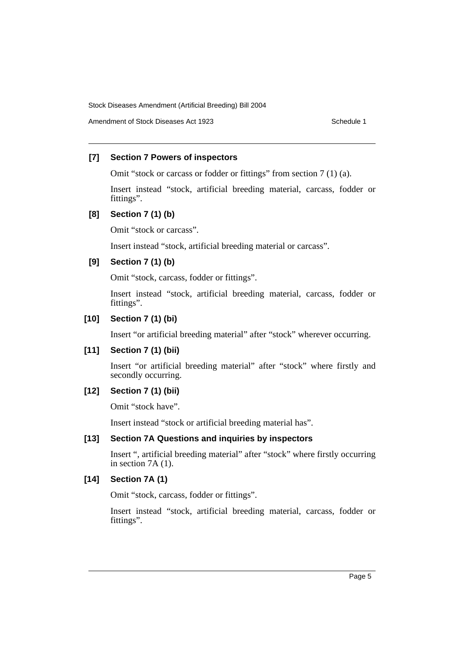Amendment of Stock Diseases Act 1923 Schedule 1

#### **[7] Section 7 Powers of inspectors**

Omit "stock or carcass or fodder or fittings" from section 7 (1) (a).

Insert instead "stock, artificial breeding material, carcass, fodder or fittings".

#### **[8] Section 7 (1) (b)**

Omit "stock or carcass".

Insert instead "stock, artificial breeding material or carcass".

#### **[9] Section 7 (1) (b)**

Omit "stock, carcass, fodder or fittings".

Insert instead "stock, artificial breeding material, carcass, fodder or fittings".

#### **[10] Section 7 (1) (bi)**

Insert "or artificial breeding material" after "stock" wherever occurring.

# **[11] Section 7 (1) (bii)**

Insert "or artificial breeding material" after "stock" where firstly and secondly occurring.

# **[12] Section 7 (1) (bii)**

Omit "stock have".

Insert instead "stock or artificial breeding material has".

# **[13] Section 7A Questions and inquiries by inspectors**

Insert ", artificial breeding material" after "stock" where firstly occurring in section 7A (1).

# **[14] Section 7A (1)**

Omit "stock, carcass, fodder or fittings".

Insert instead "stock, artificial breeding material, carcass, fodder or fittings".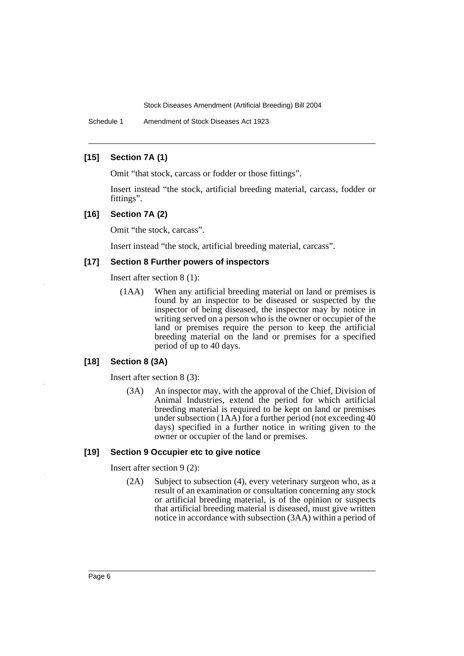Schedule 1 Amendment of Stock Diseases Act 1923

#### **[15] Section 7A (1)**

Omit "that stock, carcass or fodder or those fittings".

Insert instead "the stock, artificial breeding material, carcass, fodder or fittings".

#### **[16] Section 7A (2)**

Omit "the stock, carcass".

Insert instead "the stock, artificial breeding material, carcass".

#### **[17] Section 8 Further powers of inspectors**

Insert after section 8 (1):

(1AA) When any artificial breeding material on land or premises is found by an inspector to be diseased or suspected by the inspector of being diseased, the inspector may by notice in writing served on a person who is the owner or occupier of the land or premises require the person to keep the artificial breeding material on the land or premises for a specified period of up to 40 days.

#### **[18] Section 8 (3A)**

Insert after section 8 (3):

(3A) An inspector may, with the approval of the Chief, Division of Animal Industries, extend the period for which artificial breeding material is required to be kept on land or premises under subsection (1AA) for a further period (not exceeding 40 days) specified in a further notice in writing given to the owner or occupier of the land or premises.

#### **[19] Section 9 Occupier etc to give notice**

Insert after section 9 (2):

(2A) Subject to subsection (4), every veterinary surgeon who, as a result of an examination or consultation concerning any stock or artificial breeding material, is of the opinion or suspects that artificial breeding material is diseased, must give written notice in accordance with subsection (3AA) within a period of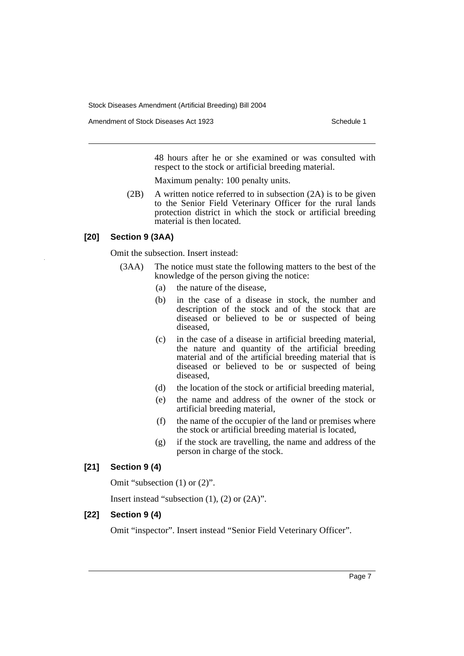Amendment of Stock Diseases Act 1923 Schedule 1

48 hours after he or she examined or was consulted with respect to the stock or artificial breeding material.

Maximum penalty: 100 penalty units.

(2B) A written notice referred to in subsection (2A) is to be given to the Senior Field Veterinary Officer for the rural lands protection district in which the stock or artificial breeding material is then located.

#### **[20] Section 9 (3AA)**

Omit the subsection. Insert instead:

- (3AA) The notice must state the following matters to the best of the knowledge of the person giving the notice:
	- (a) the nature of the disease,
	- (b) in the case of a disease in stock, the number and description of the stock and of the stock that are diseased or believed to be or suspected of being diseased,
	- (c) in the case of a disease in artificial breeding material, the nature and quantity of the artificial breeding material and of the artificial breeding material that is diseased or believed to be or suspected of being diseased,
	- (d) the location of the stock or artificial breeding material,
	- (e) the name and address of the owner of the stock or artificial breeding material,
	- (f) the name of the occupier of the land or premises where the stock or artificial breeding material is located,
	- (g) if the stock are travelling, the name and address of the person in charge of the stock.

# **[21] Section 9 (4)**

Omit "subsection (1) or (2)".

Insert instead "subsection (1), (2) or (2A)".

#### **[22] Section 9 (4)**

Omit "inspector". Insert instead "Senior Field Veterinary Officer".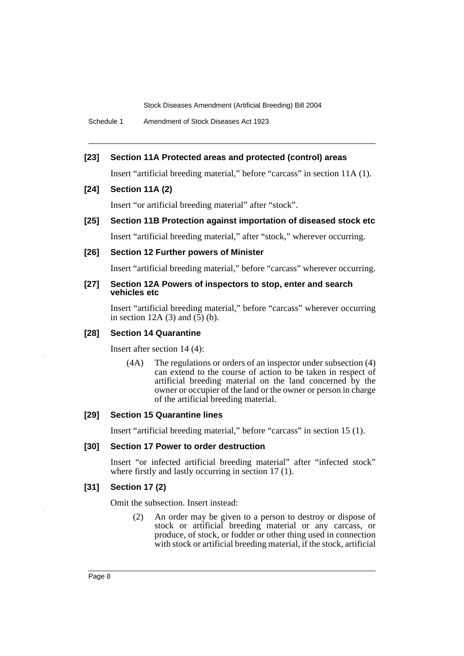Schedule 1 Amendment of Stock Diseases Act 1923

#### **[23] Section 11A Protected areas and protected (control) areas**

Insert "artificial breeding material," before "carcass" in section 11A (1).

#### **[24] Section 11A (2)**

Insert "or artificial breeding material" after "stock".

**[25] Section 11B Protection against importation of diseased stock etc**

Insert "artificial breeding material," after "stock," wherever occurring.

#### **[26] Section 12 Further powers of Minister**

Insert "artificial breeding material," before "carcass" wherever occurring.

#### **[27] Section 12A Powers of inspectors to stop, enter and search vehicles etc**

Insert "artificial breeding material," before "carcass" wherever occurring in section 12A (3) and  $(5)$  (b).

#### **[28] Section 14 Quarantine**

Insert after section 14 (4):

(4A) The regulations or orders of an inspector under subsection (4) can extend to the course of action to be taken in respect of artificial breeding material on the land concerned by the owner or occupier of the land or the owner or person in charge of the artificial breeding material.

#### **[29] Section 15 Quarantine lines**

Insert "artificial breeding material," before "carcass" in section 15 (1).

#### **[30] Section 17 Power to order destruction**

Insert "or infected artificial breeding material" after "infected stock" where firstly and lastly occurring in section 17 (1).

#### **[31] Section 17 (2)**

Omit the subsection. Insert instead:

(2) An order may be given to a person to destroy or dispose of stock or artificial breeding material or any carcass, or produce, of stock, or fodder or other thing used in connection with stock or artificial breeding material, if the stock, artificial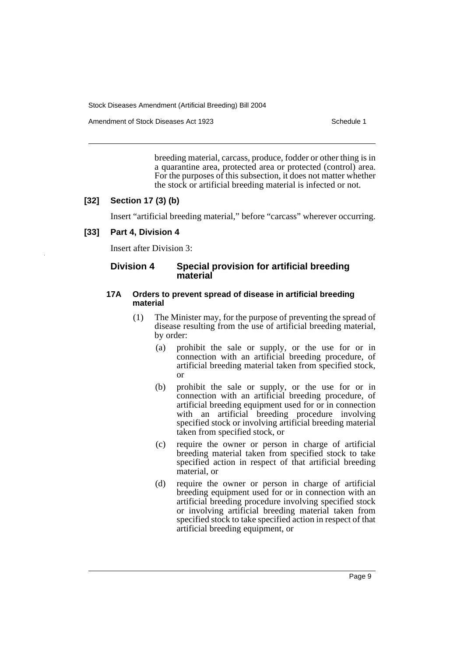Amendment of Stock Diseases Act 1923 Schedule 1

breeding material, carcass, produce, fodder or other thing is in a quarantine area, protected area or protected (control) area. For the purposes of this subsection, it does not matter whether the stock or artificial breeding material is infected or not.

#### **[32] Section 17 (3) (b)**

Insert "artificial breeding material," before "carcass" wherever occurring.

#### **[33] Part 4, Division 4**

Insert after Division 3:

#### **Division 4 Special provision for artificial breeding material**

#### **17A Orders to prevent spread of disease in artificial breeding material**

- (1) The Minister may, for the purpose of preventing the spread of disease resulting from the use of artificial breeding material, by order:
	- (a) prohibit the sale or supply, or the use for or in connection with an artificial breeding procedure, of artificial breeding material taken from specified stock, or
	- (b) prohibit the sale or supply, or the use for or in connection with an artificial breeding procedure, of artificial breeding equipment used for or in connection with an artificial breeding procedure involving specified stock or involving artificial breeding material taken from specified stock, or
	- (c) require the owner or person in charge of artificial breeding material taken from specified stock to take specified action in respect of that artificial breeding material, or
	- (d) require the owner or person in charge of artificial breeding equipment used for or in connection with an artificial breeding procedure involving specified stock or involving artificial breeding material taken from specified stock to take specified action in respect of that artificial breeding equipment, or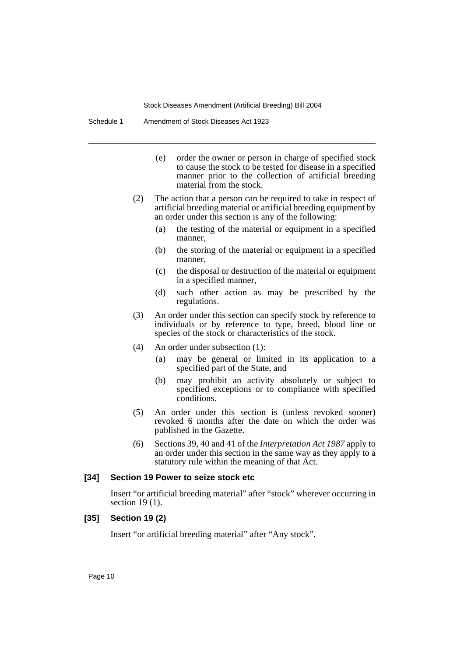Schedule 1 Amendment of Stock Diseases Act 1923

- (e) order the owner or person in charge of specified stock to cause the stock to be tested for disease in a specified manner prior to the collection of artificial breeding material from the stock.
- (2) The action that a person can be required to take in respect of artificial breeding material or artificial breeding equipment by an order under this section is any of the following:
	- (a) the testing of the material or equipment in a specified manner,
	- (b) the storing of the material or equipment in a specified manner,
	- (c) the disposal or destruction of the material or equipment in a specified manner,
	- (d) such other action as may be prescribed by the regulations.
- (3) An order under this section can specify stock by reference to individuals or by reference to type, breed, blood line or species of the stock or characteristics of the stock.
- (4) An order under subsection (1):
	- (a) may be general or limited in its application to a specified part of the State, and
	- (b) may prohibit an activity absolutely or subject to specified exceptions or to compliance with specified conditions.
- (5) An order under this section is (unless revoked sooner) revoked 6 months after the date on which the order was published in the Gazette.
- (6) Sections 39, 40 and 41 of the *Interpretation Act 1987* apply to an order under this section in the same way as they apply to a statutory rule within the meaning of that Act.

#### **[34] Section 19 Power to seize stock etc**

Insert "or artificial breeding material" after "stock" wherever occurring in section 19 (1).

#### **[35] Section 19 (2)**

Insert "or artificial breeding material" after "Any stock".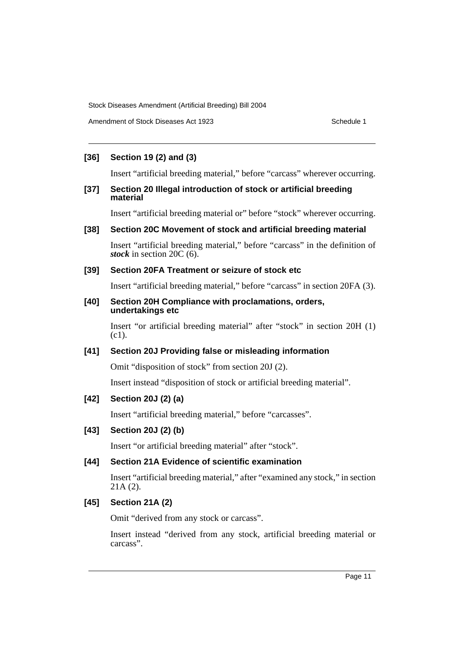Amendment of Stock Diseases Act 1923 Schedule 1

# **[36] Section 19 (2) and (3)**

Insert "artificial breeding material," before "carcass" wherever occurring.

#### **[37] Section 20 Illegal introduction of stock or artificial breeding material**

Insert "artificial breeding material or" before "stock" wherever occurring.

#### **[38] Section 20C Movement of stock and artificial breeding material**

Insert "artificial breeding material," before "carcass" in the definition of *stock* in section 20C (6).

#### **[39] Section 20FA Treatment or seizure of stock etc**

Insert "artificial breeding material," before "carcass" in section 20FA (3).

#### **[40] Section 20H Compliance with proclamations, orders, undertakings etc**

Insert "or artificial breeding material" after "stock" in section 20H (1) (c1).

# **[41] Section 20J Providing false or misleading information**

Omit "disposition of stock" from section 20J (2).

Insert instead "disposition of stock or artificial breeding material".

# **[42] Section 20J (2) (a)**

Insert "artificial breeding material," before "carcasses".

# **[43] Section 20J (2) (b)**

Insert "or artificial breeding material" after "stock".

#### **[44] Section 21A Evidence of scientific examination**

Insert "artificial breeding material," after "examined any stock," in section 21A (2).

# **[45] Section 21A (2)**

Omit "derived from any stock or carcass".

Insert instead "derived from any stock, artificial breeding material or carcass".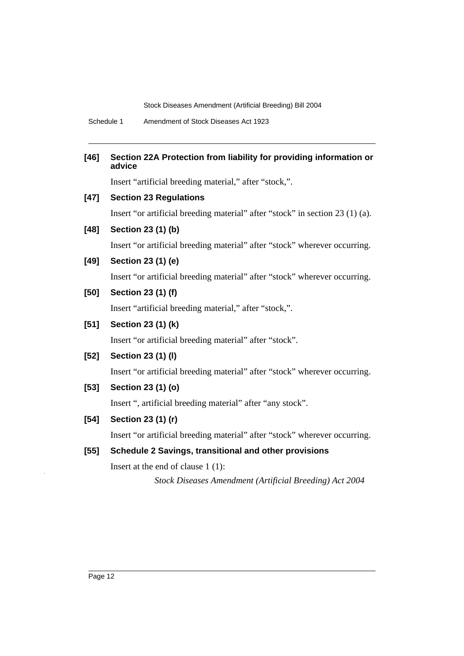Schedule 1 Amendment of Stock Diseases Act 1923

# **[46] Section 22A Protection from liability for providing information or advice**

Insert "artificial breeding material," after "stock,".

# **[47] Section 23 Regulations**

Insert "or artificial breeding material" after "stock" in section 23 (1) (a).

# **[48] Section 23 (1) (b)**

Insert "or artificial breeding material" after "stock" wherever occurring.

#### **[49] Section 23 (1) (e)**

Insert "or artificial breeding material" after "stock" wherever occurring.

# **[50] Section 23 (1) (f)**

Insert "artificial breeding material," after "stock,".

# **[51] Section 23 (1) (k)**

Insert "or artificial breeding material" after "stock".

# **[52] Section 23 (1) (l)**

Insert "or artificial breeding material" after "stock" wherever occurring.

# **[53] Section 23 (1) (o)**

Insert ", artificial breeding material" after "any stock".

# **[54] Section 23 (1) (r)**

Insert "or artificial breeding material" after "stock" wherever occurring.

# **[55] Schedule 2 Savings, transitional and other provisions**

Insert at the end of clause 1 (1):

*Stock Diseases Amendment (Artificial Breeding) Act 2004*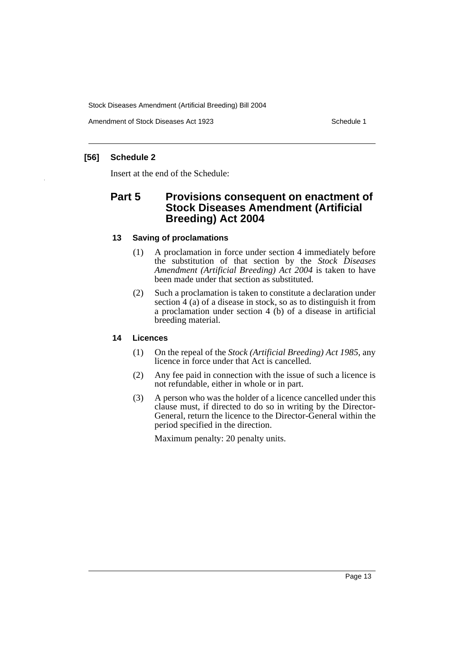Amendment of Stock Diseases Act 1923 Schedule 1

#### **[56] Schedule 2**

Insert at the end of the Schedule:

# **Part 5 Provisions consequent on enactment of Stock Diseases Amendment (Artificial Breeding) Act 2004**

#### **13 Saving of proclamations**

- (1) A proclamation in force under section 4 immediately before the substitution of that section by the *Stock Diseases Amendment (Artificial Breeding) Act 2004* is taken to have been made under that section as substituted.
- (2) Such a proclamation is taken to constitute a declaration under section 4 (a) of a disease in stock, so as to distinguish it from a proclamation under section 4 (b) of a disease in artificial breeding material.

#### **14 Licences**

- (1) On the repeal of the *Stock (Artificial Breeding) Act 1985*, any licence in force under that Act is cancelled.
- (2) Any fee paid in connection with the issue of such a licence is not refundable, either in whole or in part.
- (3) A person who was the holder of a licence cancelled under this clause must, if directed to do so in writing by the Director-General, return the licence to the Director-General within the period specified in the direction.

Maximum penalty: 20 penalty units.